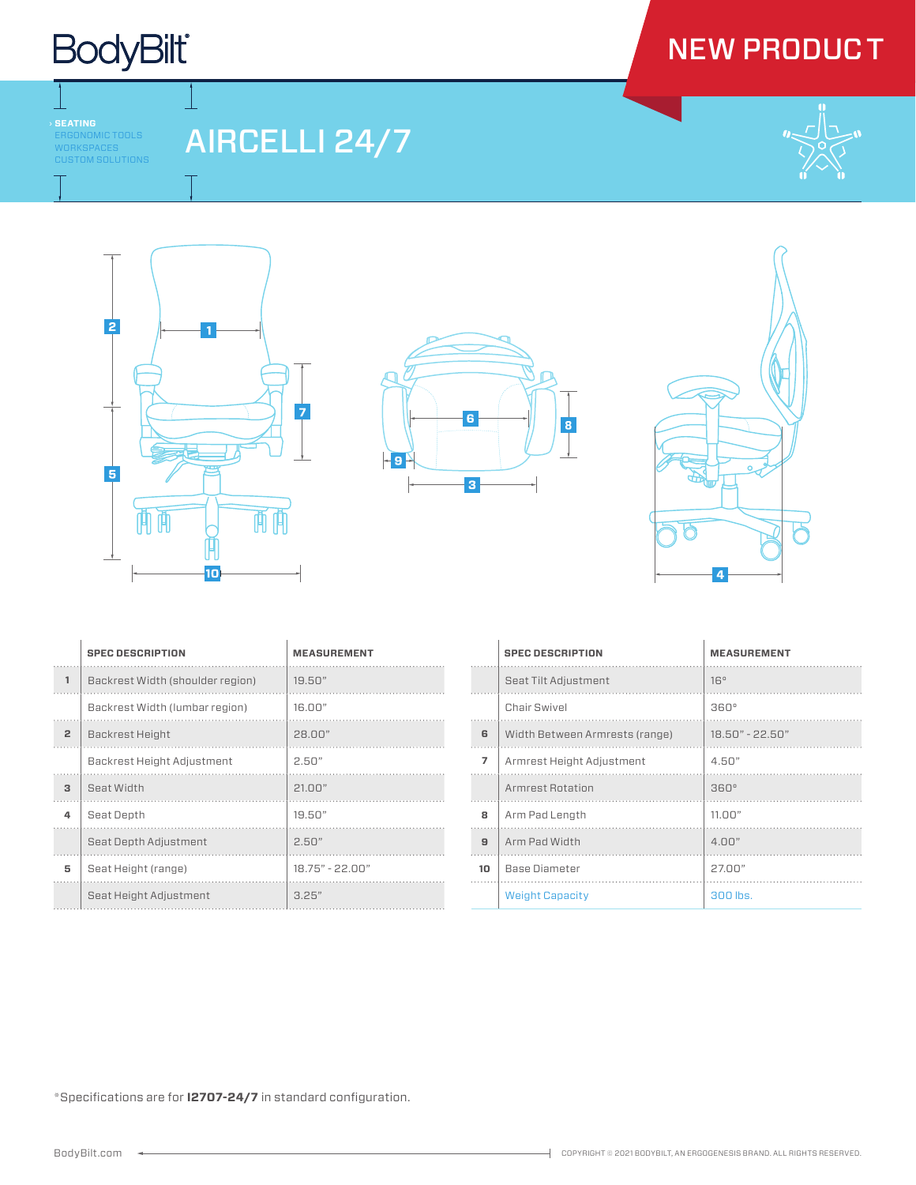### **BodyBilt**

### NEW PRODU<mark>C</mark> T

ERGONOMIC TOOLS WORKSPACES CUSTOM SOLUTIONS

-1

AIRCELLI 24/7









|                | <b>SPEC DESCRIPTION</b>          | <b>MEASUREMENT</b> |
|----------------|----------------------------------|--------------------|
| $\mathbf{1}$   | Backrest Width (shoulder region) | 19.50"             |
|                | Backrest Width (lumbar region)   | 16.00"             |
| $\overline{2}$ | Backrest Height                  | 28.00"             |
|                | Backrest Height Adjustment       | 2.50"              |
| 3              | Seat Width                       | 21.00"             |
| 4              | Seat Depth                       | 19.50"             |
|                | Seat Depth Adjustment            | 2.50"              |
| 5              | Seat Height (range)              | $18.75" - 22.00"$  |
|                | Seat Height Adjustment           | 325"               |

|                | <b>SPEC DESCRIPTION</b>        | <b>MEASUREMENT</b> |
|----------------|--------------------------------|--------------------|
|                | Seat Tilt Adjustment           | 16°                |
|                | Chair Swivel                   | $360^\circ$        |
| 6              | Width Between Armrests (range) | 18.50" - 22.50"    |
| $\overline{7}$ | Armrest Height Adjustment      | 4.50"              |
|                | Armrest Rotation               | $360^\circ$        |
| 8              | Arm Pad Length                 | 11.00"             |
| 9              | Arm Pad Width                  | $4 \Omega$         |
| 10             | <b>Base Diameter</b>           | 27.00"             |
|                | <b>Weight Capacity</b>         | 300 lbs.           |

\*Specifications are for **I2707-24/7** in standard configuration.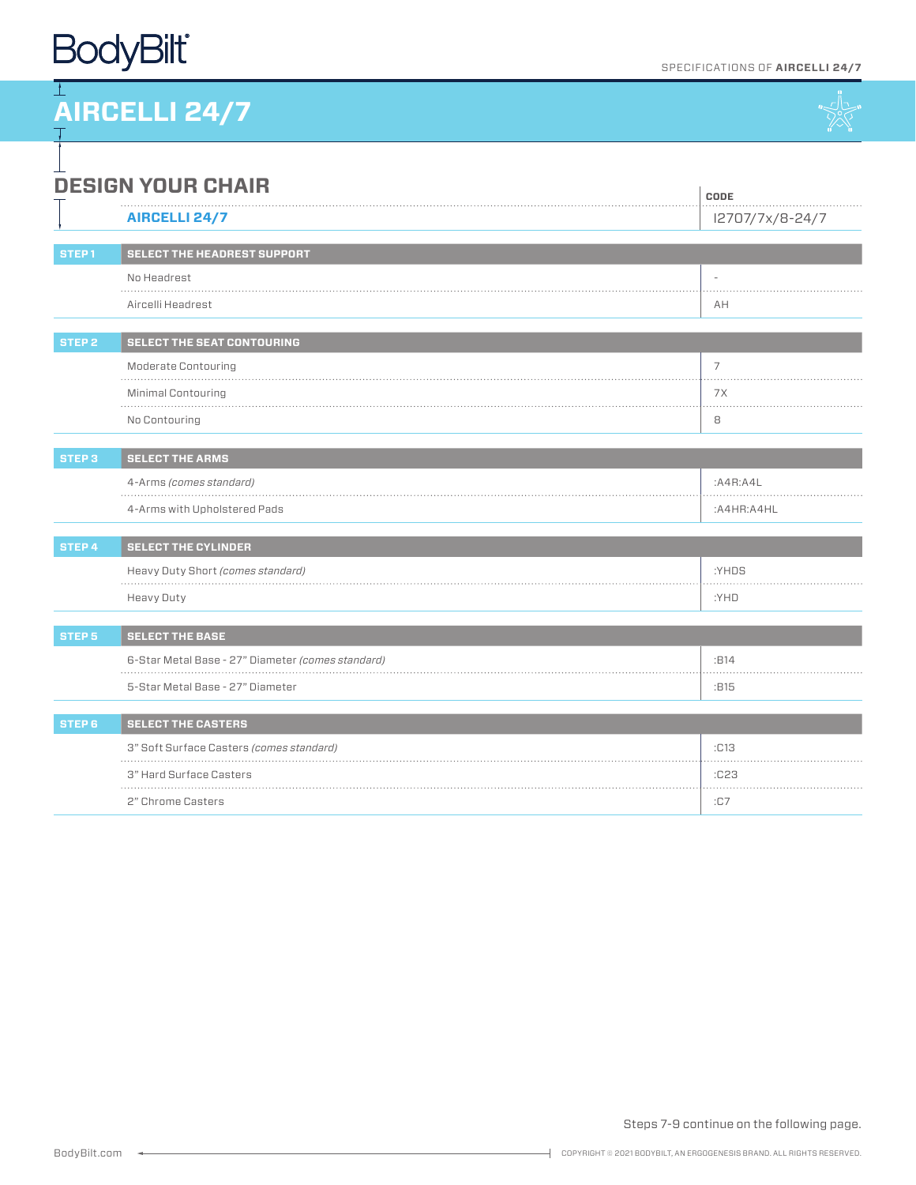### **BodyBilt**

**CODE**

# **AIRCELLI 24/7**



#### ⊥ **DESIGN YOUR CHAIR**

|                   | <b>AIRCELLI 24/7</b>                              | I2707/7x/8-24/7 |  |
|-------------------|---------------------------------------------------|-----------------|--|
| STEP <sub>1</sub> | SELECT THE HEADREST SUPPORT                       |                 |  |
|                   | No Headrest                                       |                 |  |
|                   | <u>.</u><br>Aircelli Headrest                     | AH              |  |
|                   |                                                   |                 |  |
| <b>STEP 2</b>     | <b>SELECT THE SEAT CONTOURING</b>                 |                 |  |
|                   | <b>Moderate Contouring</b>                        | 7               |  |
|                   | Minimal Contouring                                | 7X              |  |
|                   | No Contouring                                     | 8               |  |
| <b>STEP 3</b>     | <b>SELECT THE ARMS</b>                            |                 |  |
|                   | 4-Arms (comes standard)                           | A4R:AAL         |  |
|                   |                                                   |                 |  |
|                   | 4-Arms with Upholstered Pads                      | :A4HR:A4HL      |  |
| STEP 4            | <b>SELECT THE CYLINDER</b>                        |                 |  |
|                   | Heavy Duty Short (comes standard)                 | :YHDS           |  |
|                   | Heavy Duty                                        | :YHD            |  |
| STEP <sub>5</sub> | <b>SELECT THE BASE</b>                            |                 |  |
|                   | 6-Star Metal Base - 27" Diameter (comes standard) | :B14            |  |
|                   | 5-Star Metal Base - 27" Diameter                  | :B15            |  |
|                   |                                                   |                 |  |
| STEP 6            | <b>SELECT THE CASTERS</b>                         |                 |  |
|                   | 3" Soft Surface Casters (comes standard)          | :C13            |  |
|                   | 3" Hard Surface Casters                           | :C23            |  |
|                   | 2" Chrome Casters                                 | : C7            |  |